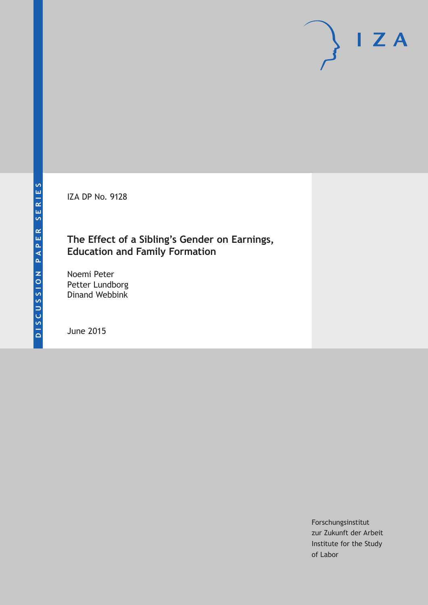IZA DP No. 9128

### **The Effect of a Sibling's Gender on Earnings, Education and Family Formation**

Noemi Peter Petter Lundborg Dinand Webbink

June 2015

Forschungsinstitut zur Zukunft der Arbeit Institute for the Study of Labor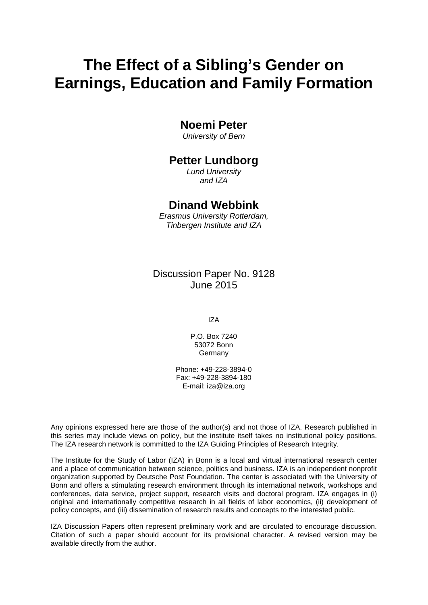# **The Effect of a Sibling's Gender on Earnings, Education and Family Formation**

#### **Noemi Peter**

*University of Bern*

#### **Petter Lundborg**

*Lund University and IZA*

#### **Dinand Webbink**

*Erasmus University Rotterdam, Tinbergen Institute and IZA*

#### Discussion Paper No. 9128 June 2015

IZA

P.O. Box 7240 53072 Bonn **Germany** 

Phone: +49-228-3894-0 Fax: +49-228-3894-180 E-mail: iza@iza.org

Any opinions expressed here are those of the author(s) and not those of IZA. Research published in this series may include views on policy, but the institute itself takes no institutional policy positions. The IZA research network is committed to the IZA Guiding Principles of Research Integrity.

The Institute for the Study of Labor (IZA) in Bonn is a local and virtual international research center and a place of communication between science, politics and business. IZA is an independent nonprofit organization supported by Deutsche Post Foundation. The center is associated with the University of Bonn and offers a stimulating research environment through its international network, workshops and conferences, data service, project support, research visits and doctoral program. IZA engages in (i) original and internationally competitive research in all fields of labor economics, (ii) development of policy concepts, and (iii) dissemination of research results and concepts to the interested public.

<span id="page-1-0"></span>IZA Discussion Papers often represent preliminary work and are circulated to encourage discussion. Citation of such a paper should account for its provisional character. A revised version may be available directly from the author.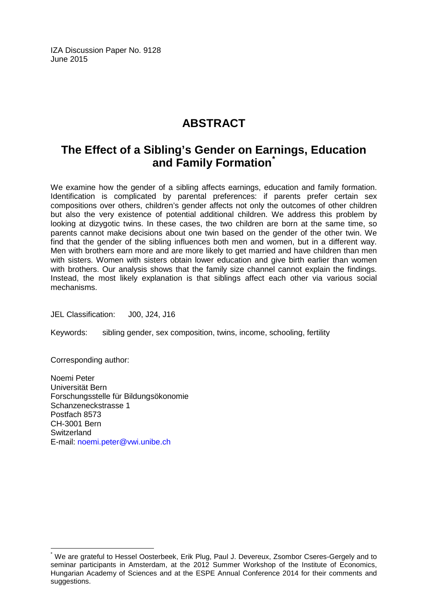IZA Discussion Paper No. 9128 June 2015

## **ABSTRACT**

## **The Effect of a Sibling's Gender on Earnings, Education and Family Formation[\\*](#page-1-0)**

We examine how the gender of a sibling affects earnings, education and family formation. Identification is complicated by parental preferences: if parents prefer certain sex compositions over others, children's gender affects not only the outcomes of other children but also the very existence of potential additional children. We address this problem by looking at dizygotic twins. In these cases, the two children are born at the same time, so parents cannot make decisions about one twin based on the gender of the other twin. We find that the gender of the sibling influences both men and women, but in a different way. Men with brothers earn more and are more likely to get married and have children than men with sisters. Women with sisters obtain lower education and give birth earlier than women with brothers. Our analysis shows that the family size channel cannot explain the findings. Instead, the most likely explanation is that siblings affect each other via various social mechanisms.

JEL Classification: J00, J24, J16

Keywords: sibling gender, sex composition, twins, income, schooling, fertility

Corresponding author:

Noemi Peter Universität Bern Forschungsstelle für Bildungsökonomie Schanzeneckstrasse 1 Postfach 8573 CH-3001 Bern **Switzerland** E-mail: [noemi.peter@vwi.unibe.ch](mailto:noemi.peter@vwi.unibe.ch)

We are grateful to Hessel Oosterbeek, Erik Plug, Paul J. Devereux, Zsombor Cseres-Gergely and to seminar participants in Amsterdam, at the 2012 Summer Workshop of the Institute of Economics, Hungarian Academy of Sciences and at the ESPE Annual Conference 2014 for their comments and suggestions.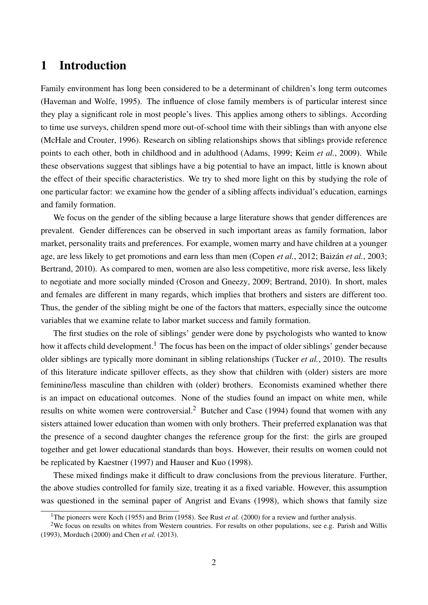### 1 Introduction

Family environment has long been considered to be a determinant of children's long term outcomes (Haveman and Wolfe, 1995). The influence of close family members is of particular interest since they play a significant role in most people's lives. This applies among others to siblings. According to time use surveys, children spend more out-of-school time with their siblings than with anyone else (McHale and Crouter, 1996). Research on sibling relationships shows that siblings provide reference points to each other, both in childhood and in adulthood (Adams, 1999; Keim *et al.*, 2009). While these observations suggest that siblings have a big potential to have an impact, little is known about the effect of their specific characteristics. We try to shed more light on this by studying the role of one particular factor: we examine how the gender of a sibling affects individual's education, earnings and family formation.

We focus on the gender of the sibling because a large literature shows that gender differences are prevalent. Gender differences can be observed in such important areas as family formation, labor market, personality traits and preferences. For example, women marry and have children at a younger age, are less likely to get promotions and earn less than men (Copen *et al.*, 2012; Baizán *et al.*, 2003; Bertrand, 2010). As compared to men, women are also less competitive, more risk averse, less likely to negotiate and more socially minded (Croson and Gneezy, 2009; Bertrand, 2010). In short, males and females are different in many regards, which implies that brothers and sisters are different too. Thus, the gender of the sibling might be one of the factors that matters, especially since the outcome variables that we examine relate to labor market success and family formation.

The first studies on the role of siblings' gender were done by psychologists who wanted to know how it affects child development.<sup>1</sup> The focus has been on the impact of older siblings' gender because older siblings are typically more dominant in sibling relationships (Tucker *et al.*, 2010). The results of this literature indicate spillover effects, as they show that children with (older) sisters are more feminine/less masculine than children with (older) brothers. Economists examined whether there is an impact on educational outcomes. None of the studies found an impact on white men, while results on white women were controversial.<sup>2</sup> Butcher and Case (1994) found that women with any sisters attained lower education than women with only brothers. Their preferred explanation was that the presence of a second daughter changes the reference group for the first: the girls are grouped together and get lower educational standards than boys. However, their results on women could not be replicated by Kaestner (1997) and Hauser and Kuo (1998).

These mixed findings make it difficult to draw conclusions from the previous literature. Further, the above studies controlled for family size, treating it as a fixed variable. However, this assumption was questioned in the seminal paper of Angrist and Evans (1998), which shows that family size

<sup>&</sup>lt;sup>1</sup>The pioneers were Koch (1955) and Brim (1958). See Rust *et al.* (2000) for a review and further analysis.

<sup>&</sup>lt;sup>2</sup>We focus on results on whites from Western countries. For results on other populations, see e.g. Parish and Willis (1993), Morduch (2000) and Chen *et al.* (2013).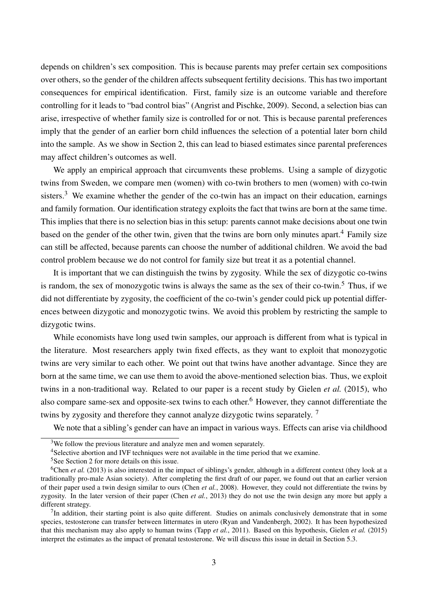depends on children's sex composition. This is because parents may prefer certain sex compositions over others, so the gender of the children affects subsequent fertility decisions. This has two important consequences for empirical identification. First, family size is an outcome variable and therefore controlling for it leads to "bad control bias" (Angrist and Pischke, 2009). Second, a selection bias can arise, irrespective of whether family size is controlled for or not. This is because parental preferences imply that the gender of an earlier born child influences the selection of a potential later born child into the sample. As we show in Section 2, this can lead to biased estimates since parental preferences may affect children's outcomes as well.

We apply an empirical approach that circumvents these problems. Using a sample of dizygotic twins from Sweden, we compare men (women) with co-twin brothers to men (women) with co-twin sisters.<sup>3</sup> We examine whether the gender of the co-twin has an impact on their education, earnings and family formation. Our identification strategy exploits the fact that twins are born at the same time. This implies that there is no selection bias in this setup: parents cannot make decisions about one twin based on the gender of the other twin, given that the twins are born only minutes apart.<sup>4</sup> Family size can still be affected, because parents can choose the number of additional children. We avoid the bad control problem because we do not control for family size but treat it as a potential channel.

It is important that we can distinguish the twins by zygosity. While the sex of dizygotic co-twins is random, the sex of monozygotic twins is always the same as the sex of their co-twin.<sup>5</sup> Thus, if we did not differentiate by zygosity, the coefficient of the co-twin's gender could pick up potential differences between dizygotic and monozygotic twins. We avoid this problem by restricting the sample to dizygotic twins.

While economists have long used twin samples, our approach is different from what is typical in the literature. Most researchers apply twin fixed effects, as they want to exploit that monozygotic twins are very similar to each other. We point out that twins have another advantage. Since they are born at the same time, we can use them to avoid the above-mentioned selection bias. Thus, we exploit twins in a non-traditional way. Related to our paper is a recent study by Gielen *et al.* (2015), who also compare same-sex and opposite-sex twins to each other.<sup>6</sup> However, they cannot differentiate the twins by zygosity and therefore they cannot analyze dizygotic twins separately.<sup>7</sup>

We note that a sibling's gender can have an impact in various ways. Effects can arise via childhood

<sup>&</sup>lt;sup>3</sup>We follow the previous literature and analyze men and women separately.

<sup>4</sup>Selective abortion and IVF techniques were not available in the time period that we examine.

<sup>5</sup>See Section 2 for more details on this issue.

<sup>&</sup>lt;sup>6</sup>Chen *et al.* (2013) is also interested in the impact of siblings's gender, although in a different context (they look at a traditionally pro-male Asian society). After completing the first draft of our paper, we found out that an earlier version of their paper used a twin design similar to ours (Chen *et al.*, 2008). However, they could not differentiate the twins by zygosity. In the later version of their paper (Chen *et al.*, 2013) they do not use the twin design any more but apply a different strategy.

 $<sup>7</sup>$ In addition, their starting point is also quite different. Studies on animals conclusively demonstrate that in some</sup> species, testosterone can transfer between littermates in utero (Ryan and Vandenbergh, 2002). It has been hypothesized that this mechanism may also apply to human twins (Tapp *et al.*, 2011). Based on this hypothesis, Gielen *et al.* (2015) interpret the estimates as the impact of prenatal testosterone. We will discuss this issue in detail in Section 5.3.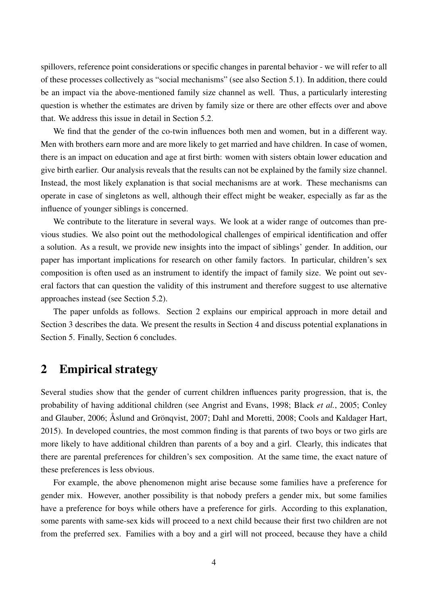spillovers, reference point considerations or specific changes in parental behavior - we will refer to all of these processes collectively as "social mechanisms" (see also Section 5.1). In addition, there could be an impact via the above-mentioned family size channel as well. Thus, a particularly interesting question is whether the estimates are driven by family size or there are other effects over and above that. We address this issue in detail in Section 5.2.

We find that the gender of the co-twin influences both men and women, but in a different way. Men with brothers earn more and are more likely to get married and have children. In case of women, there is an impact on education and age at first birth: women with sisters obtain lower education and give birth earlier. Our analysis reveals that the results can not be explained by the family size channel. Instead, the most likely explanation is that social mechanisms are at work. These mechanisms can operate in case of singletons as well, although their effect might be weaker, especially as far as the influence of younger siblings is concerned.

We contribute to the literature in several ways. We look at a wider range of outcomes than previous studies. We also point out the methodological challenges of empirical identification and offer a solution. As a result, we provide new insights into the impact of siblings' gender. In addition, our paper has important implications for research on other family factors. In particular, children's sex composition is often used as an instrument to identify the impact of family size. We point out several factors that can question the validity of this instrument and therefore suggest to use alternative approaches instead (see Section 5.2).

The paper unfolds as follows. Section 2 explains our empirical approach in more detail and Section 3 describes the data. We present the results in Section 4 and discuss potential explanations in Section 5. Finally, Section 6 concludes.

### 2 Empirical strategy

Several studies show that the gender of current children influences parity progression, that is, the probability of having additional children (see Angrist and Evans, 1998; Black *et al.*, 2005; Conley and Glauber, 2006; Åslund and Grönqvist, 2007; Dahl and Moretti, 2008; Cools and Kaldager Hart, 2015). In developed countries, the most common finding is that parents of two boys or two girls are more likely to have additional children than parents of a boy and a girl. Clearly, this indicates that there are parental preferences for children's sex composition. At the same time, the exact nature of these preferences is less obvious.

For example, the above phenomenon might arise because some families have a preference for gender mix. However, another possibility is that nobody prefers a gender mix, but some families have a preference for boys while others have a preference for girls. According to this explanation, some parents with same-sex kids will proceed to a next child because their first two children are not from the preferred sex. Families with a boy and a girl will not proceed, because they have a child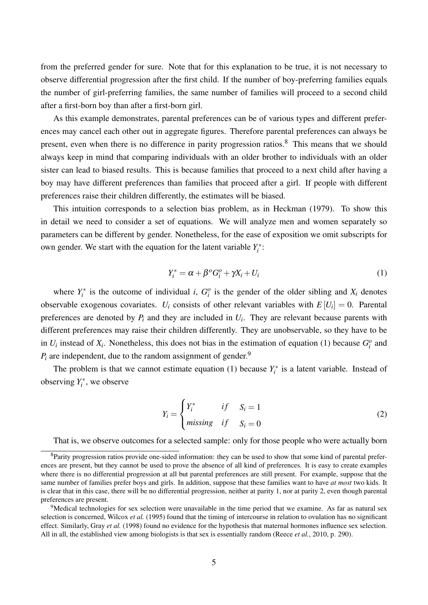from the preferred gender for sure. Note that for this explanation to be true, it is not necessary to observe differential progression after the first child. If the number of boy-preferring families equals the number of girl-preferring families, the same number of families will proceed to a second child after a first-born boy than after a first-born girl.

As this example demonstrates, parental preferences can be of various types and different preferences may cancel each other out in aggregate figures. Therefore parental preferences can always be present, even when there is no difference in parity progression ratios.<sup>8</sup> This means that we should always keep in mind that comparing individuals with an older brother to individuals with an older sister can lead to biased results. This is because families that proceed to a next child after having a boy may have different preferences than families that proceed after a girl. If people with different preferences raise their children differently, the estimates will be biased.

This intuition corresponds to a selection bias problem, as in Heckman (1979). To show this in detail we need to consider a set of equations. We will analyze men and women separately so parameters can be different by gender. Nonetheless, for the ease of exposition we omit subscripts for own gender. We start with the equation for the latent variable  $Y_i^*$ :

$$
Y_i^* = \alpha + \beta^o G_i^o + \gamma X_i + U_i \tag{1}
$$

where  $Y_i^*$  is the outcome of individual *i*,  $G_i^o$  is the gender of the older sibling and  $X_i$  denotes observable exogenous covariates.  $U_i$  consists of other relevant variables with  $E[U_i] = 0$ . Parental preferences are denoted by  $P_i$  and they are included in  $U_i$ . They are relevant because parents with different preferences may raise their children differently. They are unobservable, so they have to be in  $U_i$  instead of  $X_i$ . Nonetheless, this does not bias in the estimation of equation (1) because  $G_i^o$  and  $P_i$  are independent, due to the random assignment of gender.<sup>9</sup>

The problem is that we cannot estimate equation (1) because  $Y_i^*$  is a latent variable. Instead of observing  $Y_i^*$ , we observe

$$
Y_i = \begin{cases} Y_i^* & if & S_i = 1 \\ missing & if & S_i = 0 \end{cases}
$$
 (2)

That is, we observe outcomes for a selected sample: only for those people who were actually born

<sup>8</sup>Parity progression ratios provide one-sided information: they can be used to show that some kind of parental preferences are present, but they cannot be used to prove the absence of all kind of preferences. It is easy to create examples where there is no differential progression at all but parental preferences are still present. For example, suppose that the same number of families prefer boys and girls. In addition, suppose that these families want to have *at most* two kids. It is clear that in this case, there will be no differential progression, neither at parity 1, nor at parity 2, even though parental preferences are present.

<sup>&</sup>lt;sup>9</sup>Medical technologies for sex selection were unavailable in the time period that we examine. As far as natural sex selection is concerned, Wilcox *et al.* (1995) found that the timing of intercourse in relation to ovulation has no significant effect. Similarly, Gray *et al.* (1998) found no evidence for the hypothesis that maternal hormones influence sex selection. All in all, the established view among biologists is that sex is essentially random (Reece *et al.*, 2010, p. 290).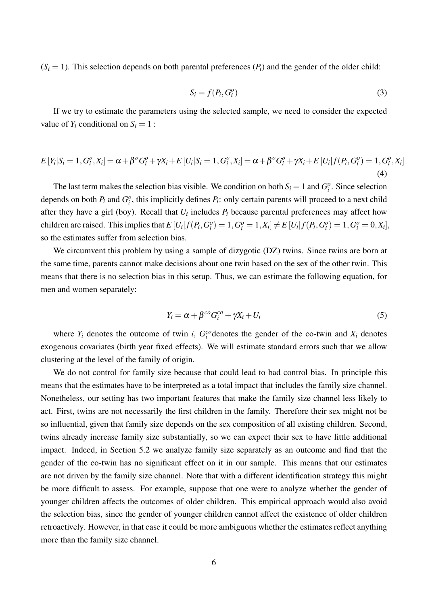$(S<sub>i</sub> = 1)$ . This selection depends on both parental preferences  $(P<sub>i</sub>)$  and the gender of the older child:

$$
S_i = f(P_i, G_i^o) \tag{3}
$$

If we try to estimate the parameters using the selected sample, we need to consider the expected value of  $Y_i$  conditional on  $S_i = 1$ :

$$
E[Y_i|S_i=1, G_i^o, X_i] = \alpha + \beta^o G_i^o + \gamma X_i + E[U_i|S_i=1, G_i^o, X_i] = \alpha + \beta^o G_i^o + \gamma X_i + E[U_i|f(P_i, G_i^o) = 1, G_i^o, X_i]
$$
\n(4)

The last term makes the selection bias visible. We condition on both  $S_i = 1$  and  $G_i^o$ . Since selection depends on both  $P_i$  and  $G_i^o$ , this implicitly defines  $P_i$ : only certain parents will proceed to a next child after they have a girl (boy). Recall that *U<sup>i</sup>* includes *P<sup>i</sup>* because parental preferences may affect how children are raised. This implies that  $E[U_i|f(P_i, G_i^o) = 1, G_i^o = 1, X_i] \neq E[U_i|f(P_i, G_i^o) = 1, G_i^o = 0, X_i]$ , so the estimates suffer from selection bias.

We circumvent this problem by using a sample of dizygotic (DZ) twins. Since twins are born at the same time, parents cannot make decisions about one twin based on the sex of the other twin. This means that there is no selection bias in this setup. Thus, we can estimate the following equation, for men and women separately:

$$
Y_i = \alpha + \beta^{co} G_i^{co} + \gamma X_i + U_i
$$
\n<sup>(5)</sup>

where  $Y_i$  denotes the outcome of twin *i*,  $G_i^{co}$  denotes the gender of the co-twin and  $X_i$  denotes exogenous covariates (birth year fixed effects). We will estimate standard errors such that we allow clustering at the level of the family of origin.

We do not control for family size because that could lead to bad control bias. In principle this means that the estimates have to be interpreted as a total impact that includes the family size channel. Nonetheless, our setting has two important features that make the family size channel less likely to act. First, twins are not necessarily the first children in the family. Therefore their sex might not be so influential, given that family size depends on the sex composition of all existing children. Second, twins already increase family size substantially, so we can expect their sex to have little additional impact. Indeed, in Section 5.2 we analyze family size separately as an outcome and find that the gender of the co-twin has no significant effect on it in our sample. This means that our estimates are not driven by the family size channel. Note that with a different identification strategy this might be more difficult to assess. For example, suppose that one were to analyze whether the gender of younger children affects the outcomes of older children. This empirical approach would also avoid the selection bias, since the gender of younger children cannot affect the existence of older children retroactively. However, in that case it could be more ambiguous whether the estimates reflect anything more than the family size channel.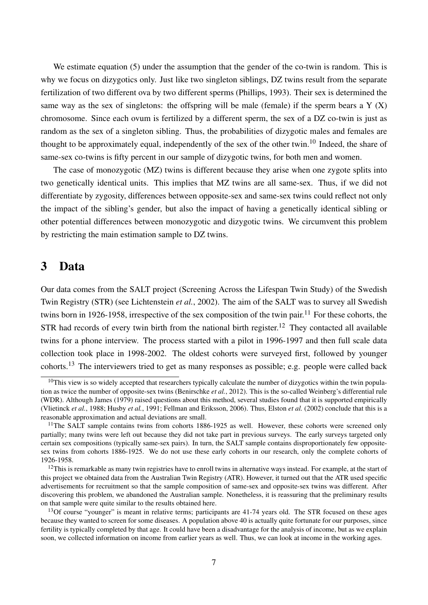We estimate equation (5) under the assumption that the gender of the co-twin is random. This is why we focus on dizygotics only. Just like two singleton siblings, DZ twins result from the separate fertilization of two different ova by two different sperms (Phillips, 1993). Their sex is determined the same way as the sex of singletons: the offspring will be male (female) if the sperm bears a  $Y(X)$ chromosome. Since each ovum is fertilized by a different sperm, the sex of a DZ co-twin is just as random as the sex of a singleton sibling. Thus, the probabilities of dizygotic males and females are thought to be approximately equal, independently of the sex of the other twin.<sup>10</sup> Indeed, the share of same-sex co-twins is fifty percent in our sample of dizygotic twins, for both men and women.

The case of monozygotic (MZ) twins is different because they arise when one zygote splits into two genetically identical units. This implies that MZ twins are all same-sex. Thus, if we did not differentiate by zygosity, differences between opposite-sex and same-sex twins could reflect not only the impact of the sibling's gender, but also the impact of having a genetically identical sibling or other potential differences between monozygotic and dizygotic twins. We circumvent this problem by restricting the main estimation sample to DZ twins.

#### 3 Data

Our data comes from the SALT project (Screening Across the Lifespan Twin Study) of the Swedish Twin Registry (STR) (see Lichtenstein *et al.*, 2002). The aim of the SALT was to survey all Swedish twins born in 1926-1958, irrespective of the sex composition of the twin pair.<sup>11</sup> For these cohorts, the STR had records of every twin birth from the national birth register.<sup>12</sup> They contacted all available twins for a phone interview. The process started with a pilot in 1996-1997 and then full scale data collection took place in 1998-2002. The oldest cohorts were surveyed first, followed by younger cohorts.<sup>13</sup> The interviewers tried to get as many responses as possible; e.g. people were called back

 $10$ This view is so widely accepted that researchers typically calculate the number of dizygotics within the twin population as twice the number of opposite-sex twins (Benirschke *et al.*, 2012). This is the so-called Weinberg's differential rule (WDR). Although James (1979) raised questions about this method, several studies found that it is supported empirically (Vlietinck *et al.*, 1988; Husby *et al.*, 1991; Fellman and Eriksson, 2006). Thus, Elston *et al.* (2002) conclude that this is a reasonable approximation and actual deviations are small.

 $11$ The SALT sample contains twins from cohorts 1886-1925 as well. However, these cohorts were screened only partially; many twins were left out because they did not take part in previous surveys. The early surveys targeted only certain sex compositions (typically same-sex pairs). In turn, the SALT sample contains disproportionately few oppositesex twins from cohorts 1886-1925. We do not use these early cohorts in our research, only the complete cohorts of 1926-1958.

 $12$ This is remarkable as many twin registries have to enroll twins in alternative ways instead. For example, at the start of this project we obtained data from the Australian Twin Registry (ATR). However, it turned out that the ATR used specific advertisements for recruitment so that the sample composition of same-sex and opposite-sex twins was different. After discovering this problem, we abandoned the Australian sample. Nonetheless, it is reassuring that the preliminary results on that sample were quite similar to the results obtained here.

 $13$ Of course "younger" is meant in relative terms; participants are  $41-74$  years old. The STR focused on these ages because they wanted to screen for some diseases. A population above 40 is actually quite fortunate for our purposes, since fertility is typically completed by that age. It could have been a disadvantage for the analysis of income, but as we explain soon, we collected information on income from earlier years as well. Thus, we can look at income in the working ages.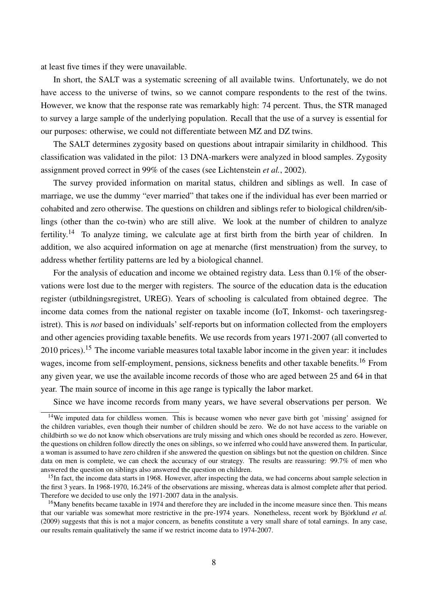at least five times if they were unavailable.

In short, the SALT was a systematic screening of all available twins. Unfortunately, we do not have access to the universe of twins, so we cannot compare respondents to the rest of the twins. However, we know that the response rate was remarkably high: 74 percent. Thus, the STR managed to survey a large sample of the underlying population. Recall that the use of a survey is essential for our purposes: otherwise, we could not differentiate between MZ and DZ twins.

The SALT determines zygosity based on questions about intrapair similarity in childhood. This classification was validated in the pilot: 13 DNA-markers were analyzed in blood samples. Zygosity assignment proved correct in 99% of the cases (see Lichtenstein *et al.*, 2002).

The survey provided information on marital status, children and siblings as well. In case of marriage, we use the dummy "ever married" that takes one if the individual has ever been married or cohabited and zero otherwise. The questions on children and siblings refer to biological children/siblings (other than the co-twin) who are still alive. We look at the number of children to analyze fertility.<sup>14</sup> To analyze timing, we calculate age at first birth from the birth year of children. In addition, we also acquired information on age at menarche (first menstruation) from the survey, to address whether fertility patterns are led by a biological channel.

For the analysis of education and income we obtained registry data. Less than 0.1% of the observations were lost due to the merger with registers. The source of the education data is the education register (utbildningsregistret, UREG). Years of schooling is calculated from obtained degree. The income data comes from the national register on taxable income (IoT, Inkomst- och taxeringsregistret). This is *not* based on individuals' self-reports but on information collected from the employers and other agencies providing taxable benefits. We use records from years 1971-2007 (all converted to 2010 prices).<sup>15</sup> The income variable measures total taxable labor income in the given year: it includes wages, income from self-employment, pensions, sickness benefits and other taxable benefits.<sup>16</sup> From any given year, we use the available income records of those who are aged between 25 and 64 in that year. The main source of income in this age range is typically the labor market.

Since we have income records from many years, we have several observations per person. We

<sup>&</sup>lt;sup>14</sup>We imputed data for childless women. This is because women who never gave birth got 'missing' assigned for the children variables, even though their number of children should be zero. We do not have access to the variable on childbirth so we do not know which observations are truly missing and which ones should be recorded as zero. However, the questions on children follow directly the ones on siblings, so we inferred who could have answered them. In particular, a woman is assumed to have zero children if she answered the question on siblings but not the question on children. Since data on men is complete, we can check the accuracy of our strategy. The results are reassuring: 99.7% of men who answered the question on siblings also answered the question on children.

 $15$ In fact, the income data starts in 1968. However, after inspecting the data, we had concerns about sample selection in the first 3 years. In 1968-1970, 16.24% of the observations are missing, whereas data is almost complete after that period. Therefore we decided to use only the 1971-2007 data in the analysis.

<sup>&</sup>lt;sup>16</sup>Many benefits became taxable in 1974 and therefore they are included in the income measure since then. This means that our variable was somewhat more restrictive in the pre-1974 years. Nonetheless, recent work by Björklund *et al.* (2009) suggests that this is not a major concern, as benefits constitute a very small share of total earnings. In any case, our results remain qualitatively the same if we restrict income data to 1974-2007.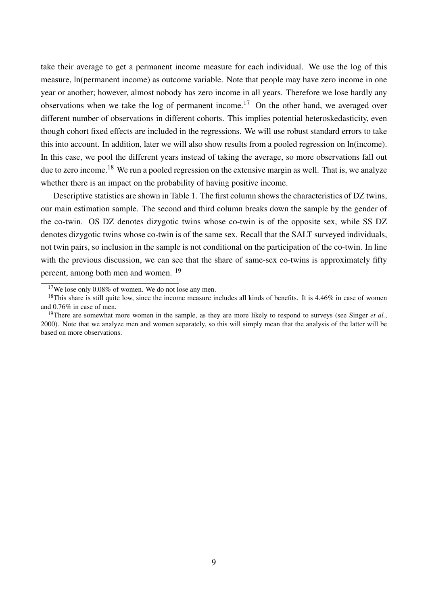take their average to get a permanent income measure for each individual. We use the log of this measure, ln(permanent income) as outcome variable. Note that people may have zero income in one year or another; however, almost nobody has zero income in all years. Therefore we lose hardly any observations when we take the log of permanent income.<sup>17</sup> On the other hand, we averaged over different number of observations in different cohorts. This implies potential heteroskedasticity, even though cohort fixed effects are included in the regressions. We will use robust standard errors to take this into account. In addition, later we will also show results from a pooled regression on ln(income). In this case, we pool the different years instead of taking the average, so more observations fall out due to zero income.<sup>18</sup> We run a pooled regression on the extensive margin as well. That is, we analyze whether there is an impact on the probability of having positive income.

Descriptive statistics are shown in Table 1. The first column shows the characteristics of DZ twins, our main estimation sample. The second and third column breaks down the sample by the gender of the co-twin. OS DZ denotes dizygotic twins whose co-twin is of the opposite sex, while SS DZ denotes dizygotic twins whose co-twin is of the same sex. Recall that the SALT surveyed individuals, not twin pairs, so inclusion in the sample is not conditional on the participation of the co-twin. In line with the previous discussion, we can see that the share of same-sex co-twins is approximately fifty percent, among both men and women. <sup>19</sup>

 $17$ We lose only 0.08% of women. We do not lose any men.

 $18$ This share is still quite low, since the income measure includes all kinds of benefits. It is 4.46% in case of women and 0.76% in case of men.

<sup>&</sup>lt;sup>19</sup>There are somewhat more women in the sample, as they are more likely to respond to surveys (see Singer *et al.*, 2000). Note that we analyze men and women separately, so this will simply mean that the analysis of the latter will be based on more observations.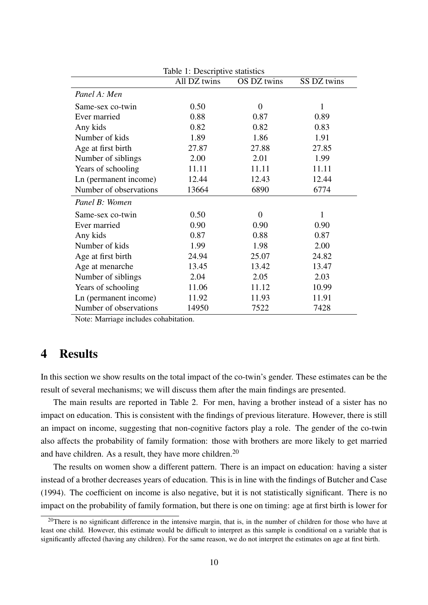| Table 1: Descriptive statistics |              |                  |             |  |  |  |
|---------------------------------|--------------|------------------|-------------|--|--|--|
|                                 | All DZ twins | OS DZ twins      | SS DZ twins |  |  |  |
| Panel A: Men                    |              |                  |             |  |  |  |
| Same-sex co-twin                | 0.50         | $\overline{0}$   | 1           |  |  |  |
| Ever married                    | 0.88         | 0.87             | 0.89        |  |  |  |
| Any kids                        | 0.82         | 0.82             | 0.83        |  |  |  |
| Number of kids                  | 1.89         | 1.86             | 1.91        |  |  |  |
| Age at first birth              | 27.87        | 27.88            | 27.85       |  |  |  |
| Number of siblings              | 2.00         | 2.01             | 1.99        |  |  |  |
| Years of schooling              | 11.11        | 11.11            | 11.11       |  |  |  |
| Ln (permanent income)           | 12.44        | 12.43            | 12.44       |  |  |  |
| Number of observations          | 13664        | 6890             | 6774        |  |  |  |
| Panel B: Women                  |              |                  |             |  |  |  |
| Same-sex co-twin                | 0.50         | $\boldsymbol{0}$ | 1           |  |  |  |
| Ever married                    | 0.90         | 0.90             | 0.90        |  |  |  |
| Any kids                        | 0.87         | 0.88             | 0.87        |  |  |  |
| Number of kids                  | 1.99         | 1.98             | 2.00        |  |  |  |
| Age at first birth              | 24.94        | 25.07            | 24.82       |  |  |  |
| Age at menarche                 | 13.45        | 13.42            | 13.47       |  |  |  |
| Number of siblings              | 2.04         | 2.05             | 2.03        |  |  |  |
| Years of schooling              | 11.06        | 11.12            | 10.99       |  |  |  |
| Ln (permanent income)           | 11.92        | 11.93            | 11.91       |  |  |  |
| Number of observations          | 14950        | 7522             | 7428        |  |  |  |

Note: Marriage includes cohabitation.

### 4 Results

In this section we show results on the total impact of the co-twin's gender. These estimates can be the result of several mechanisms; we will discuss them after the main findings are presented.

The main results are reported in Table 2. For men, having a brother instead of a sister has no impact on education. This is consistent with the findings of previous literature. However, there is still an impact on income, suggesting that non-cognitive factors play a role. The gender of the co-twin also affects the probability of family formation: those with brothers are more likely to get married and have children. As a result, they have more children.<sup>20</sup>

The results on women show a different pattern. There is an impact on education: having a sister instead of a brother decreases years of education. This is in line with the findings of Butcher and Case (1994). The coefficient on income is also negative, but it is not statistically significant. There is no impact on the probability of family formation, but there is one on timing: age at first birth is lower for

 $20$ There is no significant difference in the intensive margin, that is, in the number of children for those who have at least one child. However, this estimate would be difficult to interpret as this sample is conditional on a variable that is significantly affected (having any children). For the same reason, we do not interpret the estimates on age at first birth.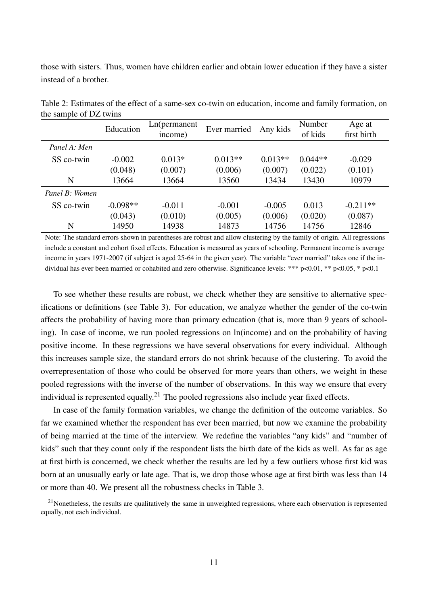those with sisters. Thus, women have children earlier and obtain lower education if they have a sister instead of a brother.

|                | Education  | Ln(permanent)<br>income) | Ever married | Any kids  | Number<br>of kids | Age at<br>first birth |
|----------------|------------|--------------------------|--------------|-----------|-------------------|-----------------------|
| Panel A: Men   |            |                          |              |           |                   |                       |
| SS co-twin     | $-0.002$   | $0.013*$                 | $0.013**$    | $0.013**$ | $0.044**$         | $-0.029$              |
|                | (0.048)    | (0.007)                  | (0.006)      | (0.007)   | (0.022)           | (0.101)               |
| N              | 13664      | 13664                    | 13560        | 13434     | 13430             | 10979                 |
| Panel B: Women |            |                          |              |           |                   |                       |
| SS co-twin     | $-0.098**$ | $-0.011$                 | $-0.001$     | $-0.005$  | 0.013             | $-0.211**$            |
|                | (0.043)    | (0.010)                  | (0.005)      | (0.006)   | (0.020)           | (0.087)               |
| N              | 14950      | 14938                    | 14873        | 14756     | 14756             | 12846                 |

Table 2: Estimates of the effect of a same-sex co-twin on education, income and family formation, on the sample of DZ twins

Note: The standard errors shown in parentheses are robust and allow clustering by the family of origin. All regressions include a constant and cohort fixed effects. Education is measured as years of schooling. Permanent income is average income in years 1971-2007 (if subject is aged 25-64 in the given year). The variable "ever married" takes one if the individual has ever been married or cohabited and zero otherwise. Significance levels: \*\*\* p<0.01, \*\* p<0.05, \* p<0.1

To see whether these results are robust, we check whether they are sensitive to alternative specifications or definitions (see Table 3). For education, we analyze whether the gender of the co-twin affects the probability of having more than primary education (that is, more than 9 years of schooling). In case of income, we run pooled regressions on ln(income) and on the probability of having positive income. In these regressions we have several observations for every individual. Although this increases sample size, the standard errors do not shrink because of the clustering. To avoid the overrepresentation of those who could be observed for more years than others, we weight in these pooled regressions with the inverse of the number of observations. In this way we ensure that every individual is represented equally.<sup>21</sup> The pooled regressions also include year fixed effects.

In case of the family formation variables, we change the definition of the outcome variables. So far we examined whether the respondent has ever been married, but now we examine the probability of being married at the time of the interview. We redefine the variables "any kids" and "number of kids" such that they count only if the respondent lists the birth date of the kids as well. As far as age at first birth is concerned, we check whether the results are led by a few outliers whose first kid was born at an unusually early or late age. That is, we drop those whose age at first birth was less than 14 or more than 40. We present all the robustness checks in Table 3.

 $21$ Nonetheless, the results are qualitatively the same in unweighted regressions, where each observation is represented equally, not each individual.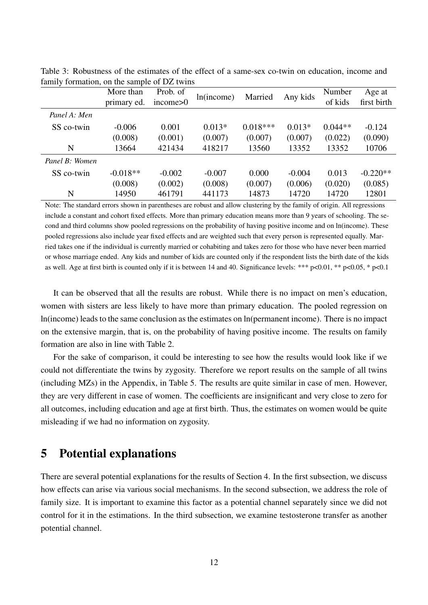|                | More than   | Prob. of | ln(income) | Married    | Any kids | Number    | Age at      |
|----------------|-------------|----------|------------|------------|----------|-----------|-------------|
|                | primary ed. | income>0 |            |            |          | of kids   | first birth |
| Panel A: Men   |             |          |            |            |          |           |             |
| SS co-twin     | $-0.006$    | 0.001    | $0.013*$   | $0.018***$ | $0.013*$ | $0.044**$ | $-0.124$    |
|                | (0.008)     | (0.001)  | (0.007)    | (0.007)    | (0.007)  | (0.022)   | (0.090)     |
| N              | 13664       | 421434   | 418217     | 13560      | 13352    | 13352     | 10706       |
| Panel B: Women |             |          |            |            |          |           |             |
| SS co-twin     | $-0.018**$  | $-0.002$ | $-0.007$   | 0.000      | $-0.004$ | 0.013     | $-0.220**$  |
|                | (0.008)     | (0.002)  | (0.008)    | (0.007)    | (0.006)  | (0.020)   | (0.085)     |
| N              | 14950       | 461791   | 441173     | 14873      | 14720    | 14720     | 12801       |

Table 3: Robustness of the estimates of the effect of a same-sex co-twin on education, income and family formation, on the sample of DZ twins

Note: The standard errors shown in parentheses are robust and allow clustering by the family of origin. All regressions include a constant and cohort fixed effects. More than primary education means more than 9 years of schooling. The second and third columns show pooled regressions on the probability of having positive income and on ln(income). These pooled regressions also include year fixed effects and are weighted such that every person is represented equally. Married takes one if the individual is currently married or cohabiting and takes zero for those who have never been married or whose marriage ended. Any kids and number of kids are counted only if the respondent lists the birth date of the kids as well. Age at first birth is counted only if it is between 14 and 40. Significance levels: \*\*\* p<0.01, \*\* p<0.05, \* p<0.1

It can be observed that all the results are robust. While there is no impact on men's education, women with sisters are less likely to have more than primary education. The pooled regression on ln(income) leads to the same conclusion as the estimates on ln(permanent income). There is no impact on the extensive margin, that is, on the probability of having positive income. The results on family formation are also in line with Table 2.

For the sake of comparison, it could be interesting to see how the results would look like if we could not differentiate the twins by zygosity. Therefore we report results on the sample of all twins (including MZs) in the Appendix, in Table 5. The results are quite similar in case of men. However, they are very different in case of women. The coefficients are insignificant and very close to zero for all outcomes, including education and age at first birth. Thus, the estimates on women would be quite misleading if we had no information on zygosity.

### 5 Potential explanations

There are several potential explanations for the results of Section 4. In the first subsection, we discuss how effects can arise via various social mechanisms. In the second subsection, we address the role of family size. It is important to examine this factor as a potential channel separately since we did not control for it in the estimations. In the third subsection, we examine testosterone transfer as another potential channel.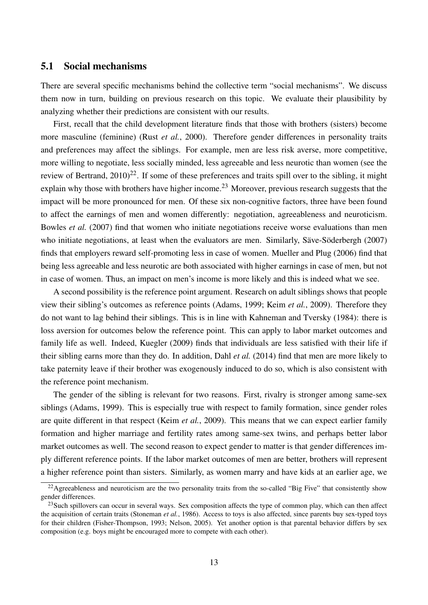#### 5.1 Social mechanisms

There are several specific mechanisms behind the collective term "social mechanisms". We discuss them now in turn, building on previous research on this topic. We evaluate their plausibility by analyzing whether their predictions are consistent with our results.

First, recall that the child development literature finds that those with brothers (sisters) become more masculine (feminine) (Rust *et al.*, 2000). Therefore gender differences in personality traits and preferences may affect the siblings. For example, men are less risk averse, more competitive, more willing to negotiate, less socially minded, less agreeable and less neurotic than women (see the review of Bertrand,  $2010^{22}$ . If some of these preferences and traits spill over to the sibling, it might explain why those with brothers have higher income.<sup>23</sup> Moreover, previous research suggests that the impact will be more pronounced for men. Of these six non-cognitive factors, three have been found to affect the earnings of men and women differently: negotiation, agreeableness and neuroticism. Bowles *et al.* (2007) find that women who initiate negotiations receive worse evaluations than men who initiate negotiations, at least when the evaluators are men. Similarly, Säve-Söderbergh (2007) finds that employers reward self-promoting less in case of women. Mueller and Plug (2006) find that being less agreeable and less neurotic are both associated with higher earnings in case of men, but not in case of women. Thus, an impact on men's income is more likely and this is indeed what we see.

A second possibility is the reference point argument. Research on adult siblings shows that people view their sibling's outcomes as reference points (Adams, 1999; Keim *et al.*, 2009). Therefore they do not want to lag behind their siblings. This is in line with Kahneman and Tversky (1984): there is loss aversion for outcomes below the reference point. This can apply to labor market outcomes and family life as well. Indeed, Kuegler (2009) finds that individuals are less satisfied with their life if their sibling earns more than they do. In addition, Dahl *et al.* (2014) find that men are more likely to take paternity leave if their brother was exogenously induced to do so, which is also consistent with the reference point mechanism.

The gender of the sibling is relevant for two reasons. First, rivalry is stronger among same-sex siblings (Adams, 1999). This is especially true with respect to family formation, since gender roles are quite different in that respect (Keim *et al.*, 2009). This means that we can expect earlier family formation and higher marriage and fertility rates among same-sex twins, and perhaps better labor market outcomes as well. The second reason to expect gender to matter is that gender differences imply different reference points. If the labor market outcomes of men are better, brothers will represent a higher reference point than sisters. Similarly, as women marry and have kids at an earlier age, we

 $22$ Agreeableness and neuroticism are the two personality traits from the so-called "Big Five" that consistently show gender differences.

 $^{23}$ Such spillovers can occur in several ways. Sex composition affects the type of common play, which can then affect the acquisition of certain traits (Stoneman *et al.*, 1986). Access to toys is also affected, since parents buy sex-typed toys for their children (Fisher-Thompson, 1993; Nelson, 2005). Yet another option is that parental behavior differs by sex composition (e.g. boys might be encouraged more to compete with each other).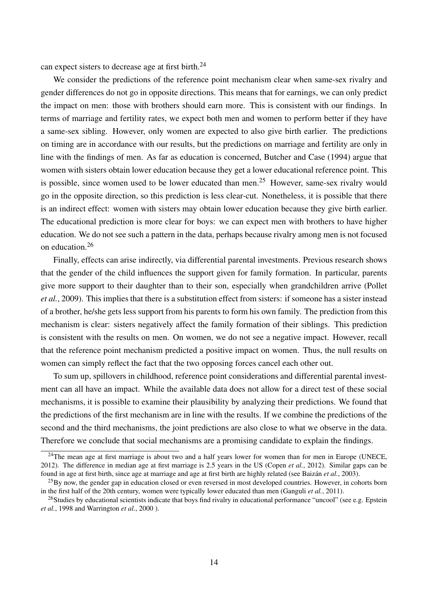can expect sisters to decrease age at first birth.<sup>24</sup>

We consider the predictions of the reference point mechanism clear when same-sex rivalry and gender differences do not go in opposite directions. This means that for earnings, we can only predict the impact on men: those with brothers should earn more. This is consistent with our findings. In terms of marriage and fertility rates, we expect both men and women to perform better if they have a same-sex sibling. However, only women are expected to also give birth earlier. The predictions on timing are in accordance with our results, but the predictions on marriage and fertility are only in line with the findings of men. As far as education is concerned, Butcher and Case (1994) argue that women with sisters obtain lower education because they get a lower educational reference point. This is possible, since women used to be lower educated than men.<sup>25</sup> However, same-sex rivalry would go in the opposite direction, so this prediction is less clear-cut. Nonetheless, it is possible that there is an indirect effect: women with sisters may obtain lower education because they give birth earlier. The educational prediction is more clear for boys: we can expect men with brothers to have higher education. We do not see such a pattern in the data, perhaps because rivalry among men is not focused on education.<sup>26</sup>

Finally, effects can arise indirectly, via differential parental investments. Previous research shows that the gender of the child influences the support given for family formation. In particular, parents give more support to their daughter than to their son, especially when grandchildren arrive (Pollet *et al.*, 2009). This implies that there is a substitution effect from sisters: if someone has a sister instead of a brother, he/she gets less support from his parents to form his own family. The prediction from this mechanism is clear: sisters negatively affect the family formation of their siblings. This prediction is consistent with the results on men. On women, we do not see a negative impact. However, recall that the reference point mechanism predicted a positive impact on women. Thus, the null results on women can simply reflect the fact that the two opposing forces cancel each other out.

To sum up, spillovers in childhood, reference point considerations and differential parental investment can all have an impact. While the available data does not allow for a direct test of these social mechanisms, it is possible to examine their plausibility by analyzing their predictions. We found that the predictions of the first mechanism are in line with the results. If we combine the predictions of the second and the third mechanisms, the joint predictions are also close to what we observe in the data. Therefore we conclude that social mechanisms are a promising candidate to explain the findings.

<sup>&</sup>lt;sup>24</sup>The mean age at first marriage is about two and a half years lower for women than for men in Europe (UNECE, 2012). The difference in median age at first marriage is 2.5 years in the US (Copen *et al.*, 2012). Similar gaps can be found in age at first birth, since age at marriage and age at first birth are highly related (see Baizán *et al.*, 2003).

 $^{25}$ By now, the gender gap in education closed or even reversed in most developed countries. However, in cohorts born in the first half of the 20th century, women were typically lower educated than men (Ganguli *et al.*, 2011).

 $^{26}$ Studies by educational scientists indicate that boys find rivalry in educational performance "uncool" (see e.g. Epstein *et al.*, 1998 and Warrington *et al.*, 2000 ).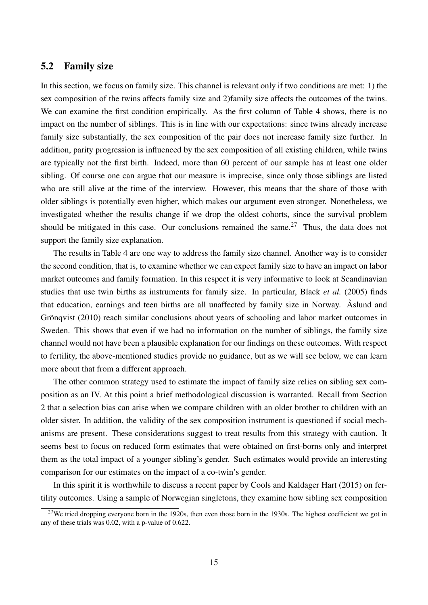#### 5.2 Family size

In this section, we focus on family size. This channel is relevant only if two conditions are met: 1) the sex composition of the twins affects family size and 2)family size affects the outcomes of the twins. We can examine the first condition empirically. As the first column of Table 4 shows, there is no impact on the number of siblings. This is in line with our expectations: since twins already increase family size substantially, the sex composition of the pair does not increase family size further. In addition, parity progression is influenced by the sex composition of all existing children, while twins are typically not the first birth. Indeed, more than 60 percent of our sample has at least one older sibling. Of course one can argue that our measure is imprecise, since only those siblings are listed who are still alive at the time of the interview. However, this means that the share of those with older siblings is potentially even higher, which makes our argument even stronger. Nonetheless, we investigated whether the results change if we drop the oldest cohorts, since the survival problem should be mitigated in this case. Our conclusions remained the same.<sup>27</sup> Thus, the data does not support the family size explanation.

The results in Table 4 are one way to address the family size channel. Another way is to consider the second condition, that is, to examine whether we can expect family size to have an impact on labor market outcomes and family formation. In this respect it is very informative to look at Scandinavian studies that use twin births as instruments for family size. In particular, Black *et al.* (2005) finds that education, earnings and teen births are all unaffected by family size in Norway. Åslund and Grönqvist (2010) reach similar conclusions about years of schooling and labor market outcomes in Sweden. This shows that even if we had no information on the number of siblings, the family size channel would not have been a plausible explanation for our findings on these outcomes. With respect to fertility, the above-mentioned studies provide no guidance, but as we will see below, we can learn more about that from a different approach.

The other common strategy used to estimate the impact of family size relies on sibling sex composition as an IV. At this point a brief methodological discussion is warranted. Recall from Section 2 that a selection bias can arise when we compare children with an older brother to children with an older sister. In addition, the validity of the sex composition instrument is questioned if social mechanisms are present. These considerations suggest to treat results from this strategy with caution. It seems best to focus on reduced form estimates that were obtained on first-borns only and interpret them as the total impact of a younger sibling's gender. Such estimates would provide an interesting comparison for our estimates on the impact of a co-twin's gender.

In this spirit it is worthwhile to discuss a recent paper by Cools and Kaldager Hart (2015) on fertility outcomes. Using a sample of Norwegian singletons, they examine how sibling sex composition

 $27$ We tried dropping everyone born in the 1920s, then even those born in the 1930s. The highest coefficient we got in any of these trials was 0.02, with a p-value of 0.622.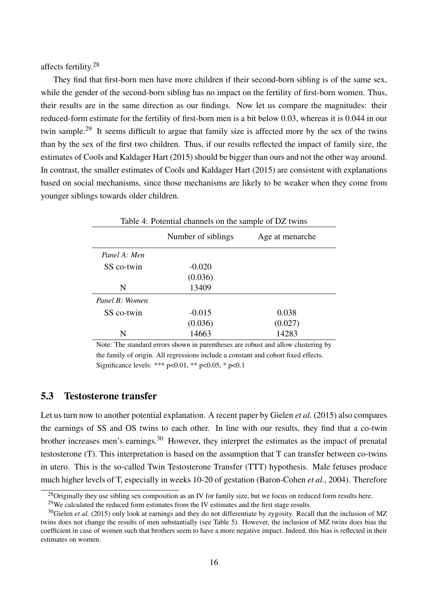affects fertility.<sup>28</sup>

They find that first-born men have more children if their second-born sibling is of the same sex, while the gender of the second-born sibling has no impact on the fertility of first-born women. Thus, their results are in the same direction as our findings. Now let us compare the magnitudes: their reduced-form estimate for the fertility of first-born men is a bit below 0.03, whereas it is 0.044 in our twin sample.<sup>29</sup> It seems difficult to argue that family size is affected more by the sex of the twins than by the sex of the first two children. Thus, if our results reflected the impact of family size, the estimates of Cools and Kaldager Hart (2015) should be bigger than ours and not the other way around. In contrast, the smaller estimates of Cools and Kaldager Hart (2015) are consistent with explanations based on social mechanisms, since those mechanisms are likely to be weaker when they come from younger siblings towards older children.

| Table 4: Potential channels on the sample of DZ twins |                    |                 |  |  |  |
|-------------------------------------------------------|--------------------|-----------------|--|--|--|
|                                                       | Number of siblings | Age at menarche |  |  |  |
| Panel A: Men                                          |                    |                 |  |  |  |
| SS co-twin                                            | $-0.020$           |                 |  |  |  |
|                                                       | (0.036)            |                 |  |  |  |
| N                                                     | 13409              |                 |  |  |  |
| Panel B: Women                                        |                    |                 |  |  |  |
| SS co-twin                                            | $-0.015$           | 0.038           |  |  |  |
|                                                       | (0.036)            | (0.027)         |  |  |  |
| N                                                     | 14663              | 14283           |  |  |  |

Note: The standard errors shown in parentheses are robust and allow clustering by the family of origin. All regressions include a constant and cohort fixed effects. Significance levels: \*\*\* p<0.01, \*\* p<0.05, \* p<0.1

#### 5.3 Testosterone transfer

Let us turn now to another potential explanation. A recent paper by Gielen *et al.* (2015) also compares the earnings of SS and OS twins to each other. In line with our results, they find that a co-twin brother increases men's earnings.<sup>30</sup> However, they interpret the estimates as the impact of prenatal testosterone (T). This interpretation is based on the assumption that T can transfer between co-twins in utero. This is the so-called Twin Testosterone Transfer (TTT) hypothesis. Male fetuses produce much higher levels of T, especially in weeks 10-20 of gestation (Baron-Cohen *et al.*, 2004). Therefore

<sup>&</sup>lt;sup>28</sup>Originally they use sibling sex composition as an IV for family size, but we focus on reduced form results here.

 $^{29}$ We calculated the reduced form estimates from the IV estimates and the first stage results.

<sup>&</sup>lt;sup>30</sup>Gielen *et al.* (2015) only look at earnings and they do not differentiate by zygosity. Recall that the inclusion of MZ twins does not change the results of men substantially (see Table 5). However, the inclusion of MZ twins does bias the coefficient in case of women such that brothers seem to have a more negative impact. Indeed, this bias is reflected in their estimates on women.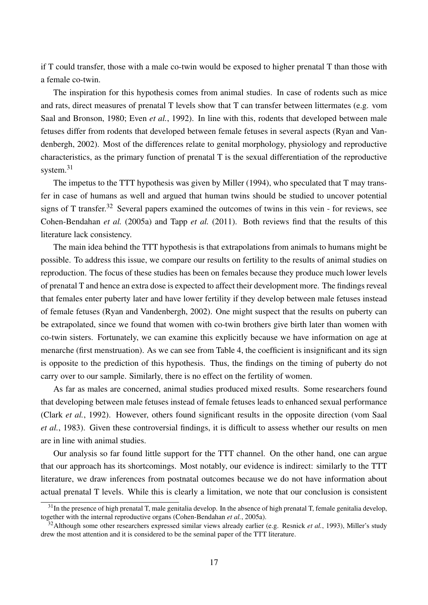if T could transfer, those with a male co-twin would be exposed to higher prenatal T than those with a female co-twin.

The inspiration for this hypothesis comes from animal studies. In case of rodents such as mice and rats, direct measures of prenatal T levels show that T can transfer between littermates (e.g. vom Saal and Bronson, 1980; Even *et al.*, 1992). In line with this, rodents that developed between male fetuses differ from rodents that developed between female fetuses in several aspects (Ryan and Vandenbergh, 2002). Most of the differences relate to genital morphology, physiology and reproductive characteristics, as the primary function of prenatal T is the sexual differentiation of the reproductive system.<sup>31</sup>

The impetus to the TTT hypothesis was given by Miller (1994), who speculated that T may transfer in case of humans as well and argued that human twins should be studied to uncover potential signs of T transfer.<sup>32</sup> Several papers examined the outcomes of twins in this vein - for reviews, see Cohen-Bendahan *et al.* (2005a) and Tapp *et al.* (2011). Both reviews find that the results of this literature lack consistency.

The main idea behind the TTT hypothesis is that extrapolations from animals to humans might be possible. To address this issue, we compare our results on fertility to the results of animal studies on reproduction. The focus of these studies has been on females because they produce much lower levels of prenatal T and hence an extra dose is expected to affect their development more. The findings reveal that females enter puberty later and have lower fertility if they develop between male fetuses instead of female fetuses (Ryan and Vandenbergh, 2002). One might suspect that the results on puberty can be extrapolated, since we found that women with co-twin brothers give birth later than women with co-twin sisters. Fortunately, we can examine this explicitly because we have information on age at menarche (first menstruation). As we can see from Table 4, the coefficient is insignificant and its sign is opposite to the prediction of this hypothesis. Thus, the findings on the timing of puberty do not carry over to our sample. Similarly, there is no effect on the fertility of women.

As far as males are concerned, animal studies produced mixed results. Some researchers found that developing between male fetuses instead of female fetuses leads to enhanced sexual performance (Clark *et al.*, 1992). However, others found significant results in the opposite direction (vom Saal *et al.*, 1983). Given these controversial findings, it is difficult to assess whether our results on men are in line with animal studies.

Our analysis so far found little support for the TTT channel. On the other hand, one can argue that our approach has its shortcomings. Most notably, our evidence is indirect: similarly to the TTT literature, we draw inferences from postnatal outcomes because we do not have information about actual prenatal T levels. While this is clearly a limitation, we note that our conclusion is consistent

 $31$ In the presence of high prenatal T, male genitalia develop. In the absence of high prenatal T, female genitalia develop, together with the internal reproductive organs (Cohen-Bendahan *et al.*, 2005a).

<sup>32</sup>Although some other researchers expressed similar views already earlier (e.g. Resnick *et al.*, 1993), Miller's study drew the most attention and it is considered to be the seminal paper of the TTT literature.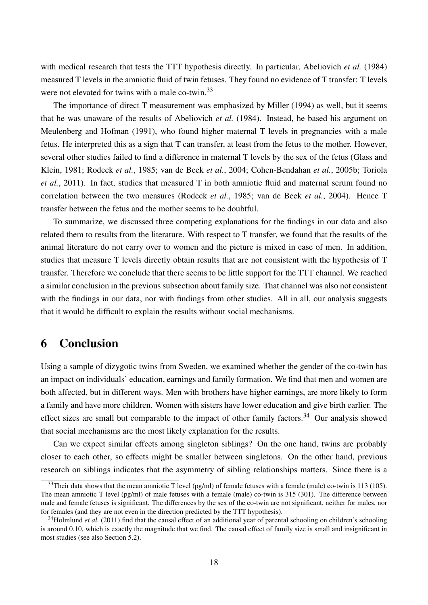with medical research that tests the TTT hypothesis directly. In particular, Abeliovich *et al.* (1984) measured T levels in the amniotic fluid of twin fetuses. They found no evidence of T transfer: T levels were not elevated for twins with a male co-twin.<sup>33</sup>

The importance of direct T measurement was emphasized by Miller (1994) as well, but it seems that he was unaware of the results of Abeliovich *et al.* (1984). Instead, he based his argument on Meulenberg and Hofman (1991), who found higher maternal T levels in pregnancies with a male fetus. He interpreted this as a sign that T can transfer, at least from the fetus to the mother. However, several other studies failed to find a difference in maternal T levels by the sex of the fetus (Glass and Klein, 1981; Rodeck *et al.*, 1985; van de Beek *et al.*, 2004; Cohen-Bendahan *et al.*, 2005b; Toriola *et al.*, 2011). In fact, studies that measured T in both amniotic fluid and maternal serum found no correlation between the two measures (Rodeck *et al.*, 1985; van de Beek *et al.*, 2004). Hence T transfer between the fetus and the mother seems to be doubtful.

To summarize, we discussed three competing explanations for the findings in our data and also related them to results from the literature. With respect to T transfer, we found that the results of the animal literature do not carry over to women and the picture is mixed in case of men. In addition, studies that measure T levels directly obtain results that are not consistent with the hypothesis of T transfer. Therefore we conclude that there seems to be little support for the TTT channel. We reached a similar conclusion in the previous subsection about family size. That channel was also not consistent with the findings in our data, nor with findings from other studies. All in all, our analysis suggests that it would be difficult to explain the results without social mechanisms.

### 6 Conclusion

Using a sample of dizygotic twins from Sweden, we examined whether the gender of the co-twin has an impact on individuals' education, earnings and family formation. We find that men and women are both affected, but in different ways. Men with brothers have higher earnings, are more likely to form a family and have more children. Women with sisters have lower education and give birth earlier. The effect sizes are small but comparable to the impact of other family factors.<sup>34</sup> Our analysis showed that social mechanisms are the most likely explanation for the results.

Can we expect similar effects among singleton siblings? On the one hand, twins are probably closer to each other, so effects might be smaller between singletons. On the other hand, previous research on siblings indicates that the asymmetry of sibling relationships matters. Since there is a

<sup>&</sup>lt;sup>33</sup>Their data shows that the mean amniotic T level (pg/ml) of female fetuses with a female (male) co-twin is 113 (105). The mean amniotic T level (pg/ml) of male fetuses with a female (male) co-twin is 315 (301). The difference between male and female fetuses is significant. The differences by the sex of the co-twin are not significant, neither for males, nor for females (and they are not even in the direction predicted by the TTT hypothesis).

<sup>&</sup>lt;sup>34</sup>Holmlund *et al.* (2011) find that the causal effect of an additional year of parental schooling on children's schooling is around 0.10, which is exactly the magnitude that we find. The causal effect of family size is small and insignificant in most studies (see also Section 5.2).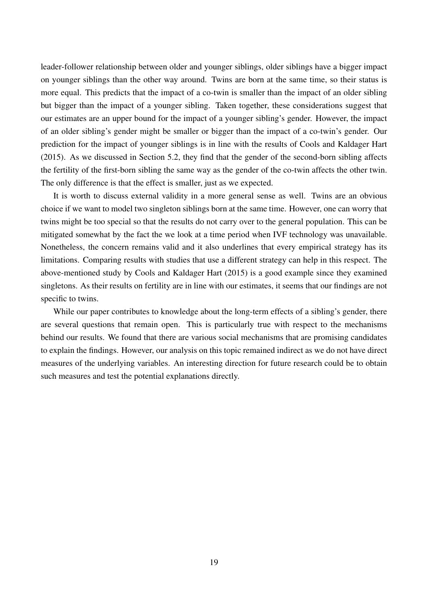leader-follower relationship between older and younger siblings, older siblings have a bigger impact on younger siblings than the other way around. Twins are born at the same time, so their status is more equal. This predicts that the impact of a co-twin is smaller than the impact of an older sibling but bigger than the impact of a younger sibling. Taken together, these considerations suggest that our estimates are an upper bound for the impact of a younger sibling's gender. However, the impact of an older sibling's gender might be smaller or bigger than the impact of a co-twin's gender. Our prediction for the impact of younger siblings is in line with the results of Cools and Kaldager Hart (2015). As we discussed in Section 5.2, they find that the gender of the second-born sibling affects the fertility of the first-born sibling the same way as the gender of the co-twin affects the other twin. The only difference is that the effect is smaller, just as we expected.

It is worth to discuss external validity in a more general sense as well. Twins are an obvious choice if we want to model two singleton siblings born at the same time. However, one can worry that twins might be too special so that the results do not carry over to the general population. This can be mitigated somewhat by the fact the we look at a time period when IVF technology was unavailable. Nonetheless, the concern remains valid and it also underlines that every empirical strategy has its limitations. Comparing results with studies that use a different strategy can help in this respect. The above-mentioned study by Cools and Kaldager Hart (2015) is a good example since they examined singletons. As their results on fertility are in line with our estimates, it seems that our findings are not specific to twins.

While our paper contributes to knowledge about the long-term effects of a sibling's gender, there are several questions that remain open. This is particularly true with respect to the mechanisms behind our results. We found that there are various social mechanisms that are promising candidates to explain the findings. However, our analysis on this topic remained indirect as we do not have direct measures of the underlying variables. An interesting direction for future research could be to obtain such measures and test the potential explanations directly.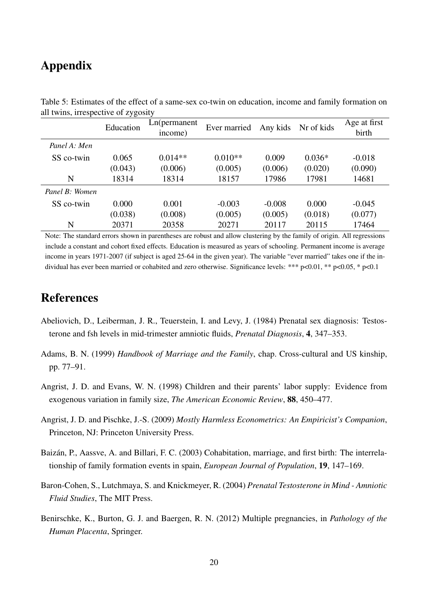## Appendix

| л.             | J C<br>Education | Ln(permanent)<br>income) | Ever married | Any kids | Nr of kids | Age at first<br>birth |
|----------------|------------------|--------------------------|--------------|----------|------------|-----------------------|
| Panel A: Men   |                  |                          |              |          |            |                       |
| SS co-twin     | 0.065            | $0.014**$                | $0.010**$    | 0.009    | $0.036*$   | $-0.018$              |
|                | (0.043)          | (0.006)                  | (0.005)      | (0.006)  | (0.020)    | (0.090)               |
| N              | 18314            | 18314                    | 18157        | 17986    | 17981      | 14681                 |
| Panel B: Women |                  |                          |              |          |            |                       |
| SS co-twin     | 0.000            | 0.001                    | $-0.003$     | $-0.008$ | 0.000      | $-0.045$              |
|                | (0.038)          | (0.008)                  | (0.005)      | (0.005)  | (0.018)    | (0.077)               |
| N              | 20371            | 20358                    | 20271        | 20117    | 20115      | 17464                 |

Table 5: Estimates of the effect of a same-sex co-twin on education, income and family formation on all twins, irrespective of zygosity

Note: The standard errors shown in parentheses are robust and allow clustering by the family of origin. All regressions include a constant and cohort fixed effects. Education is measured as years of schooling. Permanent income is average income in years 1971-2007 (if subject is aged 25-64 in the given year). The variable "ever married" takes one if the individual has ever been married or cohabited and zero otherwise. Significance levels: \*\*\* p<0.01, \*\* p<0.05, \* p<0.1

## References

- Abeliovich, D., Leiberman, J. R., Teuerstein, I. and Levy, J. (1984) Prenatal sex diagnosis: Testosterone and fsh levels in mid-trimester amniotic fluids, *Prenatal Diagnosis*, 4, 347–353.
- Adams, B. N. (1999) *Handbook of Marriage and the Family*, chap. Cross-cultural and US kinship, pp. 77–91.
- Angrist, J. D. and Evans, W. N. (1998) Children and their parents' labor supply: Evidence from exogenous variation in family size, *The American Economic Review*, 88, 450–477.
- Angrist, J. D. and Pischke, J.-S. (2009) *Mostly Harmless Econometrics: An Empiricist's Companion*, Princeton, NJ: Princeton University Press.
- Baizán, P., Aassve, A. and Billari, F. C. (2003) Cohabitation, marriage, and first birth: The interrelationship of family formation events in spain, *European Journal of Population*, 19, 147–169.
- Baron-Cohen, S., Lutchmaya, S. and Knickmeyer, R. (2004) *Prenatal Testosterone in Mind Amniotic Fluid Studies*, The MIT Press.
- Benirschke, K., Burton, G. J. and Baergen, R. N. (2012) Multiple pregnancies, in *Pathology of the Human Placenta*, Springer.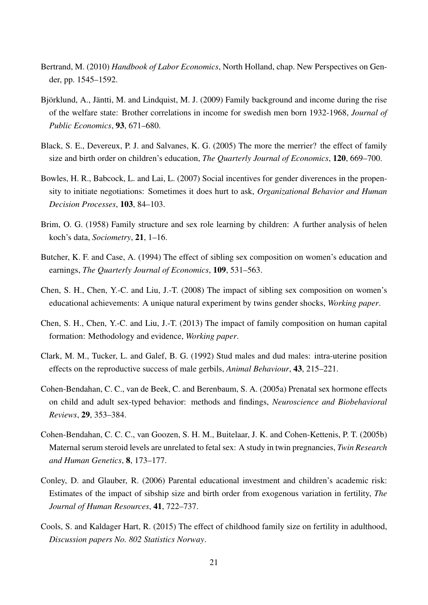- Bertrand, M. (2010) *Handbook of Labor Economics*, North Holland, chap. New Perspectives on Gender, pp. 1545–1592.
- Björklund, A., Jäntti, M. and Lindquist, M. J. (2009) Family background and income during the rise of the welfare state: Brother correlations in income for swedish men born 1932-1968, *Journal of Public Economics*, 93, 671–680.
- Black, S. E., Devereux, P. J. and Salvanes, K. G. (2005) The more the merrier? the effect of family size and birth order on children's education, *The Quarterly Journal of Economics*, 120, 669–700.
- Bowles, H. R., Babcock, L. and Lai, L. (2007) Social incentives for gender diverences in the propensity to initiate negotiations: Sometimes it does hurt to ask, *Organizational Behavior and Human Decision Processes*, 103, 84–103.
- Brim, O. G. (1958) Family structure and sex role learning by children: A further analysis of helen koch's data, *Sociometry*, 21, 1–16.
- Butcher, K. F. and Case, A. (1994) The effect of sibling sex composition on women's education and earnings, *The Quarterly Journal of Economics*, 109, 531–563.
- Chen, S. H., Chen, Y.-C. and Liu, J.-T. (2008) The impact of sibling sex composition on women's educational achievements: A unique natural experiment by twins gender shocks, *Working paper*.
- Chen, S. H., Chen, Y.-C. and Liu, J.-T. (2013) The impact of family composition on human capital formation: Methodology and evidence, *Working paper*.
- Clark, M. M., Tucker, L. and Galef, B. G. (1992) Stud males and dud males: intra-uterine position effects on the reproductive success of male gerbils, *Animal Behaviour*, 43, 215–221.
- Cohen-Bendahan, C. C., van de Beek, C. and Berenbaum, S. A. (2005a) Prenatal sex hormone effects on child and adult sex-typed behavior: methods and findings, *Neuroscience and Biobehavioral Reviews*, 29, 353–384.
- Cohen-Bendahan, C. C. C., van Goozen, S. H. M., Buitelaar, J. K. and Cohen-Kettenis, P. T. (2005b) Maternal serum steroid levels are unrelated to fetal sex: A study in twin pregnancies, *Twin Research and Human Genetics*, 8, 173–177.
- Conley, D. and Glauber, R. (2006) Parental educational investment and children's academic risk: Estimates of the impact of sibship size and birth order from exogenous variation in fertility, *The Journal of Human Resources*, 41, 722–737.
- Cools, S. and Kaldager Hart, R. (2015) The effect of childhood family size on fertility in adulthood, *Discussion papers No. 802 Statistics Norway*.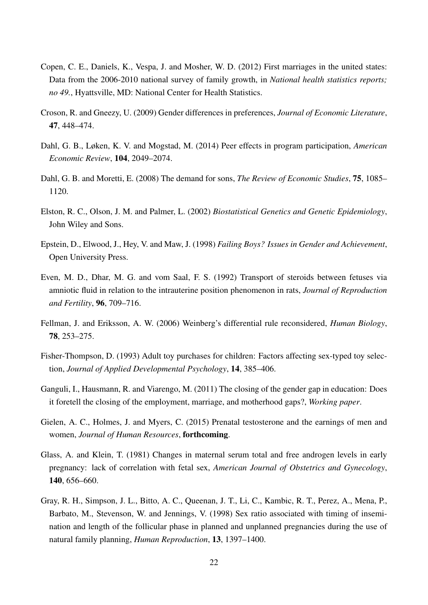- Copen, C. E., Daniels, K., Vespa, J. and Mosher, W. D. (2012) First marriages in the united states: Data from the 2006-2010 national survey of family growth, in *National health statistics reports; no 49.*, Hyattsville, MD: National Center for Health Statistics.
- Croson, R. and Gneezy, U. (2009) Gender differences in preferences, *Journal of Economic Literature*, 47, 448–474.
- Dahl, G. B., Løken, K. V. and Mogstad, M. (2014) Peer effects in program participation, *American Economic Review*, 104, 2049–2074.
- Dahl, G. B. and Moretti, E. (2008) The demand for sons, *The Review of Economic Studies*, 75, 1085– 1120.
- Elston, R. C., Olson, J. M. and Palmer, L. (2002) *Biostatistical Genetics and Genetic Epidemiology*, John Wiley and Sons.
- Epstein, D., Elwood, J., Hey, V. and Maw, J. (1998) *Failing Boys? Issues in Gender and Achievement*, Open University Press.
- Even, M. D., Dhar, M. G. and vom Saal, F. S. (1992) Transport of steroids between fetuses via amniotic fluid in relation to the intrauterine position phenomenon in rats, *Journal of Reproduction and Fertility*, 96, 709–716.
- Fellman, J. and Eriksson, A. W. (2006) Weinberg's differential rule reconsidered, *Human Biology*, 78, 253–275.
- Fisher-Thompson, D. (1993) Adult toy purchases for children: Factors affecting sex-typed toy selection, *Journal of Applied Developmental Psychology*, 14, 385–406.
- Ganguli, I., Hausmann, R. and Viarengo, M. (2011) The closing of the gender gap in education: Does it foretell the closing of the employment, marriage, and motherhood gaps?, *Working paper*.
- Gielen, A. C., Holmes, J. and Myers, C. (2015) Prenatal testosterone and the earnings of men and women, *Journal of Human Resources*, forthcoming.
- Glass, A. and Klein, T. (1981) Changes in maternal serum total and free androgen levels in early pregnancy: lack of correlation with fetal sex, *American Journal of Obstetrics and Gynecology*, 140, 656–660.
- Gray, R. H., Simpson, J. L., Bitto, A. C., Queenan, J. T., Li, C., Kambic, R. T., Perez, A., Mena, P., Barbato, M., Stevenson, W. and Jennings, V. (1998) Sex ratio associated with timing of insemination and length of the follicular phase in planned and unplanned pregnancies during the use of natural family planning, *Human Reproduction*, 13, 1397–1400.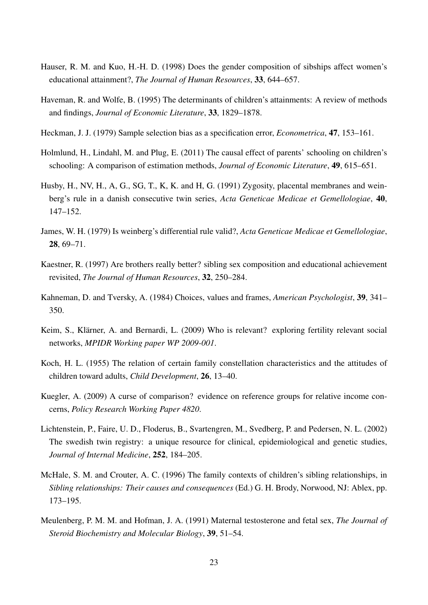- Hauser, R. M. and Kuo, H.-H. D. (1998) Does the gender composition of sibships affect women's educational attainment?, *The Journal of Human Resources*, 33, 644–657.
- Haveman, R. and Wolfe, B. (1995) The determinants of children's attainments: A review of methods and findings, *Journal of Economic Literature*, 33, 1829–1878.
- Heckman, J. J. (1979) Sample selection bias as a specification error, *Econometrica*, 47, 153–161.
- Holmlund, H., Lindahl, M. and Plug, E. (2011) The causal effect of parents' schooling on children's schooling: A comparison of estimation methods, *Journal of Economic Literature*, 49, 615–651.
- Husby, H., NV, H., A, G., SG, T., K, K. and H, G. (1991) Zygosity, placental membranes and weinberg's rule in a danish consecutive twin series, *Acta Geneticae Medicae et Gemellologiae*, 40, 147–152.
- James, W. H. (1979) Is weinberg's differential rule valid?, *Acta Geneticae Medicae et Gemellologiae*, 28, 69–71.
- Kaestner, R. (1997) Are brothers really better? sibling sex composition and educational achievement revisited, *The Journal of Human Resources*, 32, 250–284.
- Kahneman, D. and Tversky, A. (1984) Choices, values and frames, *American Psychologist*, 39, 341– 350.
- Keim, S., Klärner, A. and Bernardi, L. (2009) Who is relevant? exploring fertility relevant social networks, *MPIDR Working paper WP 2009-001*.
- Koch, H. L. (1955) The relation of certain family constellation characteristics and the attitudes of children toward adults, *Child Development*, 26, 13–40.
- Kuegler, A. (2009) A curse of comparison? evidence on reference groups for relative income concerns, *Policy Research Working Paper 4820*.
- Lichtenstein, P., Faire, U. D., Floderus, B., Svartengren, M., Svedberg, P. and Pedersen, N. L. (2002) The swedish twin registry: a unique resource for clinical, epidemiological and genetic studies, *Journal of Internal Medicine*, 252, 184–205.
- McHale, S. M. and Crouter, A. C. (1996) The family contexts of children's sibling relationships, in *Sibling relationships: Their causes and consequences* (Ed.) G. H. Brody, Norwood, NJ: Ablex, pp. 173–195.
- Meulenberg, P. M. M. and Hofman, J. A. (1991) Maternal testosterone and fetal sex, *The Journal of Steroid Biochemistry and Molecular Biology*, 39, 51–54.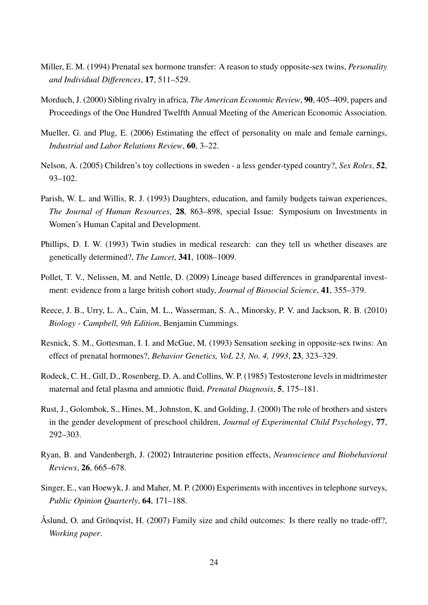- Miller, E. M. (1994) Prenatal sex hormone transfer: A reason to study opposite-sex twins, *Personality and Individual Differences*, 17, 511–529.
- Morduch, J. (2000) Sibling rivalry in africa, *The American Economic Review*, 90, 405–409, papers and Proceedings of the One Hundred Twelfth Annual Meeting of the American Economic Association.
- Mueller, G. and Plug, E. (2006) Estimating the effect of personality on male and female earnings, *Industrial and Labor Relations Review*, 60, 3–22.
- Nelson, A. (2005) Children's toy collections in sweden a less gender-typed country?, *Sex Roles*, 52, 93–102.
- Parish, W. L. and Willis, R. J. (1993) Daughters, education, and family budgets taiwan experiences, *The Journal of Human Resources*, 28, 863–898, special Issue: Symposium on Investments in Women's Human Capital and Development.
- Phillips, D. I. W. (1993) Twin studies in medical research: can they tell us whether diseases are genetically determined?, *The Lancet*, 341, 1008–1009.
- Pollet, T. V., Nelissen, M. and Nettle, D. (2009) Lineage based differences in grandparental investment: evidence from a large british cohort study, *Journal of Biosocial Science*, 41, 355–379.
- Reece, J. B., Urry, L. A., Cain, M. L., Wasserman, S. A., Minorsky, P. V. and Jackson, R. B. (2010) *Biology - Campbell, 9th Edition*, Benjamin Cummings.
- Resnick, S. M., Gottesman, I. I. and McGue, M. (1993) Sensation seeking in opposite-sex twins: An effect of prenatal hormones?, *Behavior Genetics, VoL 23, No. 4, 1993*, 23, 323–329.
- Rodeck, C. H., Gill, D., Rosenberg, D. A. and Collins, W. P. (1985) Testosterone levels in midtrimester maternal and fetal plasma and amniotic fluid, *Prenatal Diagnosis*, 5, 175–181.
- Rust, J., Golombok, S., Hines, M., Johnston, K. and Golding, J. (2000) The role of brothers and sisters in the gender development of preschool children, *Journal of Experimental Child Psychology*, 77, 292–303.
- Ryan, B. and Vandenbergh, J. (2002) Intrauterine position effects, *Neuroscience and Biobehavioral Reviews*, 26, 665–678.
- Singer, E., van Hoewyk, J. and Maher, M. P. (2000) Experiments with incentives in telephone surveys, *Public Opinion Quarterly*, 64, 171–188.
- Åslund, O. and Grönqvist, H. (2007) Family size and child outcomes: Is there really no trade-off?, *Working paper*.